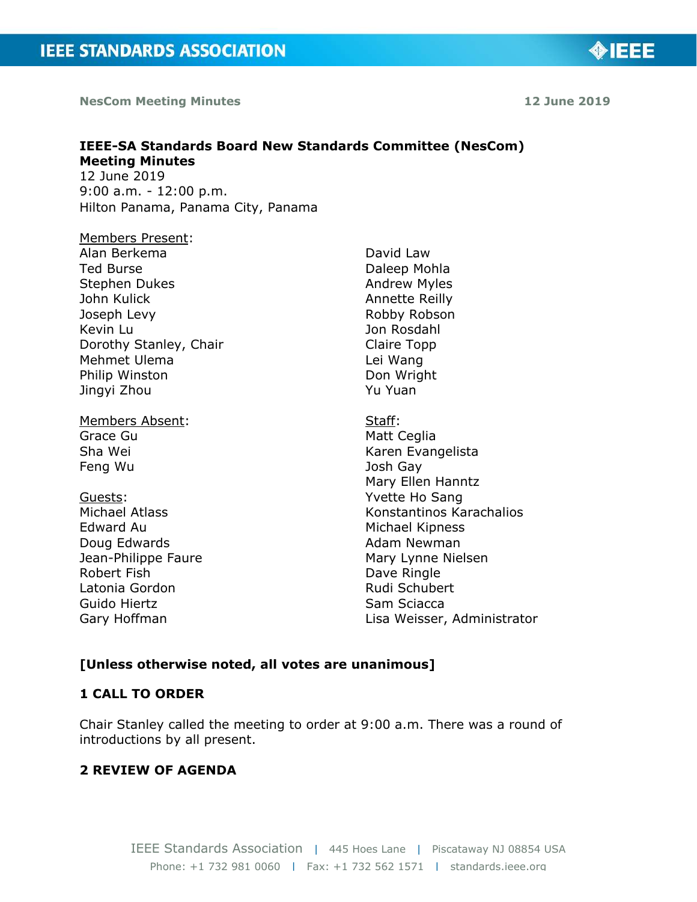**NesCom Meeting Minutes 12 June 2019**

**OIEEE** 

#### **IEEE-SA Standards Board New Standards Committee (NesCom) Meeting Minutes**  12 June 2019 9:00 a.m. - 12:00 p.m.

Hilton Panama, Panama City, Panama

Members Present: Alan Berkema Ted Burse Stephen Dukes John Kulick Joseph Levy Kevin Lu Dorothy Stanley, Chair Mehmet Ulema Philip Winston Jingyi Zhou

Members Absent: Grace Gu Sha Wei Feng Wu

Guests: Michael Atlass Edward Au Doug Edwards Jean-Philippe Faure Robert Fish Latonia Gordon Guido Hiertz Gary Hoffman

David Law Daleep Mohla Andrew Myles Annette Reilly Robby Robson Jon Rosdahl Claire Topp Lei Wang Don Wright Yu Yuan

Staff: Matt Ceglia Karen Evangelista Josh Gay Mary Ellen Hanntz Yvette Ho Sang Konstantinos Karachalios Michael Kipness Adam Newman Mary Lynne Nielsen Dave Ringle Rudi Schubert Sam Sciacca Lisa Weisser, Administrator

# **[Unless otherwise noted, all votes are unanimous]**

## **1 CALL TO ORDER**

Chair Stanley called the meeting to order at 9:00 a.m. There was a round of introductions by all present.

## **2 REVIEW OF AGENDA**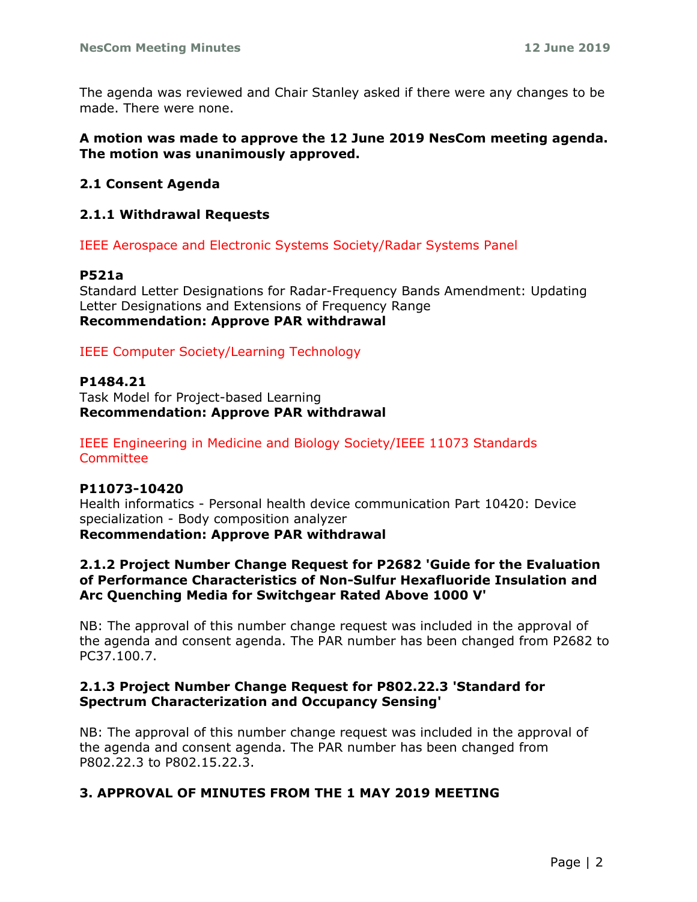The agenda was reviewed and Chair Stanley asked if there were any changes to be made. There were none.

## **A motion was made to approve the 12 June 2019 NesCom meeting agenda. The motion was unanimously approved.**

## **2.1 Consent Agenda**

## **2.1.1 Withdrawal Requests**

IEEE Aerospace and Electronic Systems Society/Radar Systems Panel

## **P521a**

Standard Letter Designations for Radar-Frequency Bands Amendment: Updating Letter Designations and Extensions of Frequency Range **Recommendation: Approve PAR withdrawal**

IEEE Computer Society/Learning Technology

## **P1484.21**

Task Model for Project-based Learning **Recommendation: Approve PAR withdrawal**

IEEE Engineering in Medicine and Biology Society/IEEE 11073 Standards **Committee** 

## **P11073-10420**

Health informatics - Personal health device communication Part 10420: Device specialization - Body composition analyzer **Recommendation: Approve PAR withdrawal**

## **2.1.2 Project Number Change Request for P2682 'Guide for the Evaluation of Performance Characteristics of Non-Sulfur Hexafluoride Insulation and Arc Quenching Media for Switchgear Rated Above 1000 V'**

NB: The approval of this number change request was included in the approval of the agenda and consent agenda. The PAR number has been changed from P2682 to PC37.100.7.

## **2.1.3 Project Number Change Request for P802.22.3 'Standard for Spectrum Characterization and Occupancy Sensing'**

NB: The approval of this number change request was included in the approval of the agenda and consent agenda. The PAR number has been changed from P802.22.3 to P802.15.22.3.

## **3. APPROVAL OF MINUTES FROM THE 1 MAY 2019 MEETING**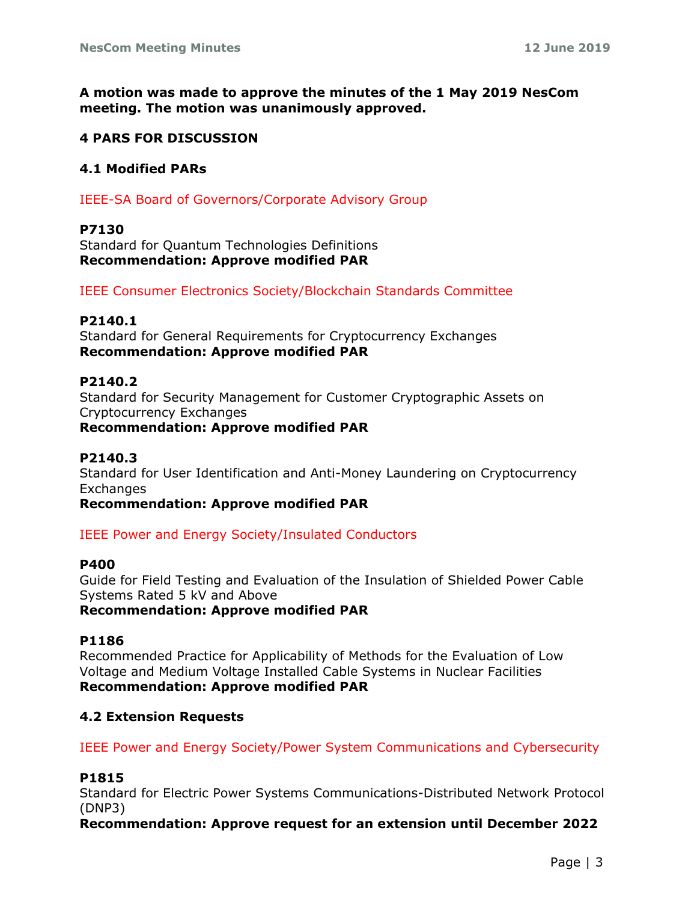**A motion was made to approve the minutes of the 1 May 2019 NesCom meeting. The motion was unanimously approved.**

## **4 PARS FOR DISCUSSION**

## **4.1 Modified PARs**

IEEE-SA Board of Governors/Corporate Advisory Group

## **P7130**

Standard for Quantum Technologies Definitions **Recommendation: Approve modified PAR**

IEEE Consumer Electronics Society/Blockchain Standards Committee

## **P2140.1**

Standard for General Requirements for Cryptocurrency Exchanges **Recommendation: Approve modified PAR**

## **P2140.2**

Standard for Security Management for Customer Cryptographic Assets on Cryptocurrency Exchanges

**Recommendation: Approve modified PAR**

# **P2140.3**

Standard for User Identification and Anti-Money Laundering on Cryptocurrency Exchanges

**Recommendation: Approve modified PAR**

IEEE Power and Energy Society/Insulated Conductors

## **P400**

Guide for Field Testing and Evaluation of the Insulation of Shielded Power Cable Systems Rated 5 kV and Above

# **Recommendation: Approve modified PAR**

## **P1186**

Recommended Practice for Applicability of Methods for the Evaluation of Low Voltage and Medium Voltage Installed Cable Systems in Nuclear Facilities **Recommendation: Approve modified PAR**

## **4.2 Extension Requests**

IEEE Power and Energy Society/Power System Communications and Cybersecurity

## **P1815**

Standard for Electric Power Systems Communications-Distributed Network Protocol (DNP3)

**Recommendation: Approve request for an extension until December 2022**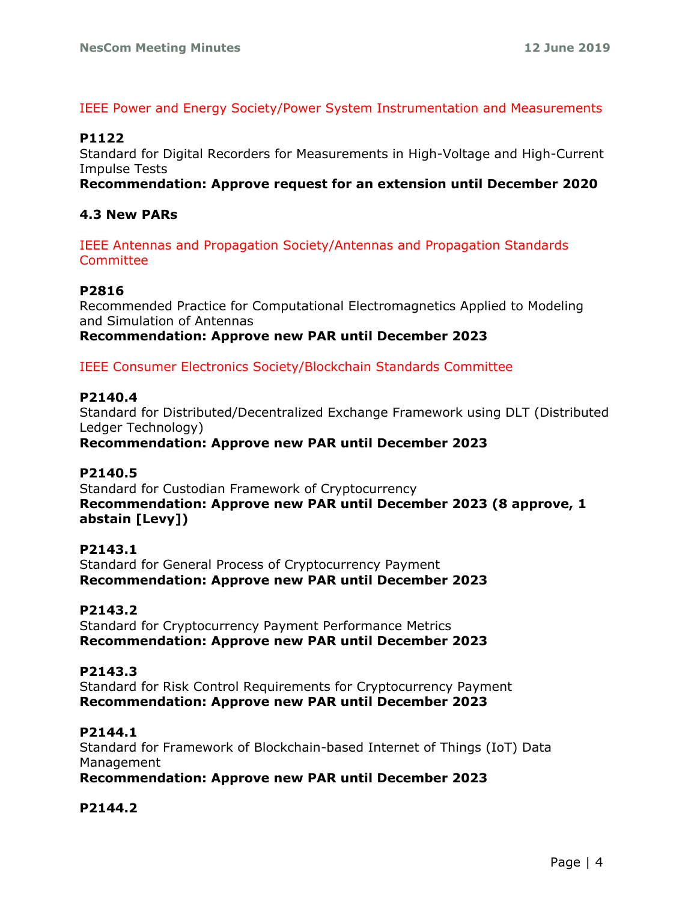## IEEE Power and Energy Society/Power System Instrumentation and Measurements

# **P1122**

Standard for Digital Recorders for Measurements in High-Voltage and High-Current Impulse Tests

**Recommendation: Approve request for an extension until December 2020**

# **4.3 New PARs**

IEEE Antennas and Propagation Society/Antennas and Propagation Standards Committee

## **P2816**

Recommended Practice for Computational Electromagnetics Applied to Modeling and Simulation of Antennas

**Recommendation: Approve new PAR until December 2023**

IEEE Consumer Electronics Society/Blockchain Standards Committee

## **P2140.4**

Standard for Distributed/Decentralized Exchange Framework using DLT (Distributed Ledger Technology)

**Recommendation: Approve new PAR until December 2023**

## **P2140.5**

Standard for Custodian Framework of Cryptocurrency **Recommendation: Approve new PAR until December 2023 (8 approve, 1 abstain [Levy])**

## **P2143.1**

Standard for General Process of Cryptocurrency Payment **Recommendation: Approve new PAR until December 2023**

## **P2143.2**

Standard for Cryptocurrency Payment Performance Metrics **Recommendation: Approve new PAR until December 2023**

## **P2143.3**

Standard for Risk Control Requirements for Cryptocurrency Payment **Recommendation: Approve new PAR until December 2023**

## **P2144.1**

Standard for Framework of Blockchain-based Internet of Things (IoT) Data Management

**Recommendation: Approve new PAR until December 2023**

# **P2144.2**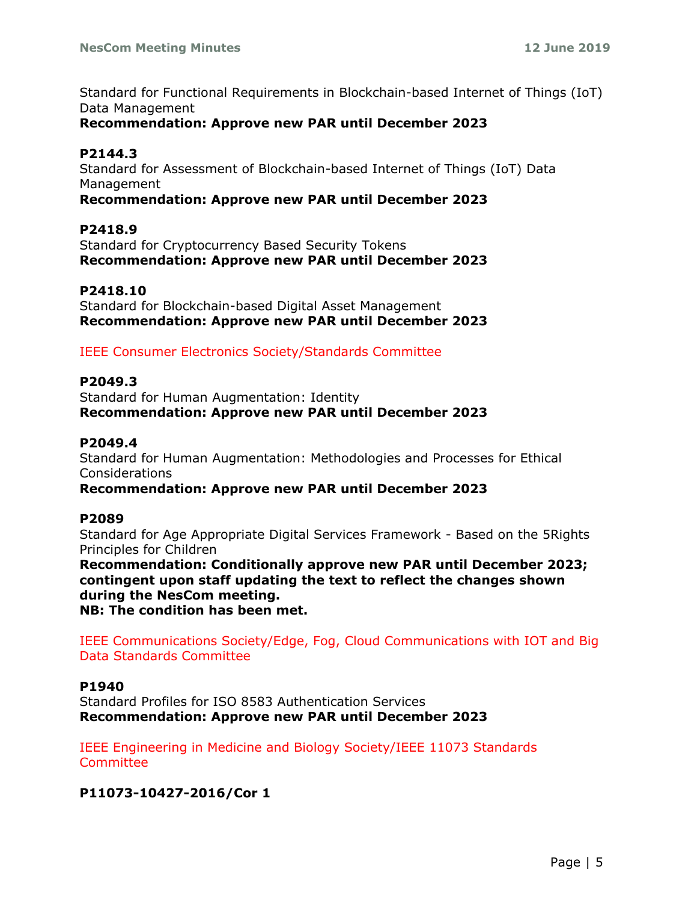Standard for Functional Requirements in Blockchain-based Internet of Things (IoT) Data Management

## **Recommendation: Approve new PAR until December 2023**

## **P2144.3**

Standard for Assessment of Blockchain-based Internet of Things (IoT) Data Management

## **Recommendation: Approve new PAR until December 2023**

## **P2418.9**

Standard for Cryptocurrency Based Security Tokens **Recommendation: Approve new PAR until December 2023**

## **P2418.10**

Standard for Blockchain-based Digital Asset Management **Recommendation: Approve new PAR until December 2023**

## IEEE Consumer Electronics Society/Standards Committee

## **P2049.3**

Standard for Human Augmentation: Identity **Recommendation: Approve new PAR until December 2023**

## **P2049.4**

Standard for Human Augmentation: Methodologies and Processes for Ethical Considerations

**Recommendation: Approve new PAR until December 2023**

## **P2089**

Standard for Age Appropriate Digital Services Framework - Based on the 5Rights Principles for Children

**Recommendation: Conditionally approve new PAR until December 2023; contingent upon staff updating the text to reflect the changes shown during the NesCom meeting. NB: The condition has been met.**

IEEE Communications Society/Edge, Fog, Cloud Communications with IOT and Big Data Standards Committee

## **P1940**

Standard Profiles for ISO 8583 Authentication Services **Recommendation: Approve new PAR until December 2023**

IEEE Engineering in Medicine and Biology Society/IEEE 11073 Standards **Committee** 

**P11073-10427-2016/Cor 1**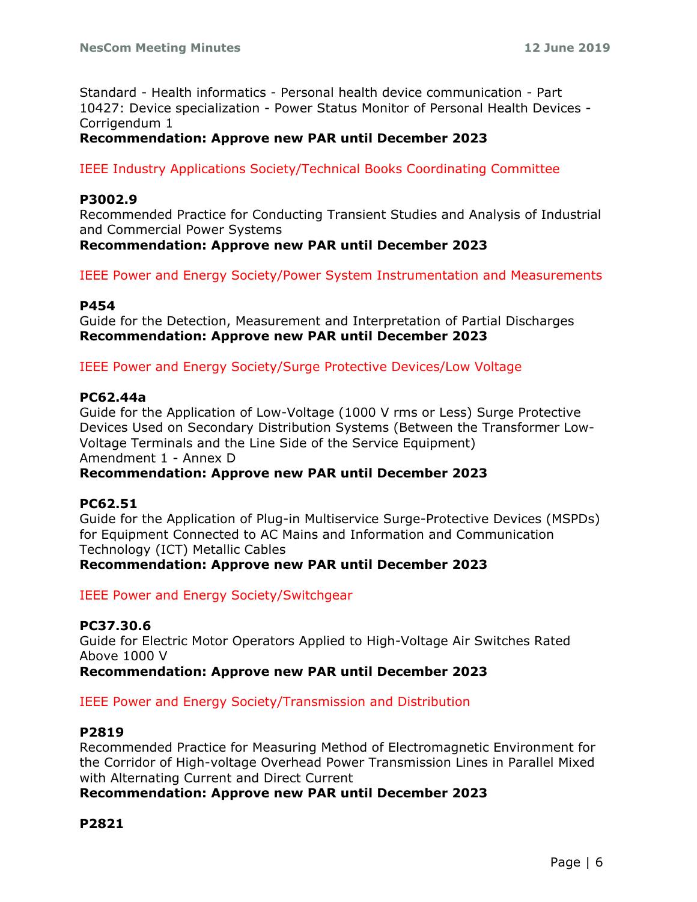Standard - Health informatics - Personal health device communication - Part 10427: Device specialization - Power Status Monitor of Personal Health Devices - Corrigendum 1

# **Recommendation: Approve new PAR until December 2023**

IEEE Industry Applications Society/Technical Books Coordinating Committee

## **P3002.9**

Recommended Practice for Conducting Transient Studies and Analysis of Industrial and Commercial Power Systems

**Recommendation: Approve new PAR until December 2023**

IEEE Power and Energy Society/Power System Instrumentation and Measurements

## **P454**

Guide for the Detection, Measurement and Interpretation of Partial Discharges **Recommendation: Approve new PAR until December 2023**

IEEE Power and Energy Society/Surge Protective Devices/Low Voltage

## **PC62.44a**

Guide for the Application of Low-Voltage (1000 V rms or Less) Surge Protective Devices Used on Secondary Distribution Systems (Between the Transformer Low-Voltage Terminals and the Line Side of the Service Equipment) Amendment 1 - Annex D

# **Recommendation: Approve new PAR until December 2023**

## **PC62.51**

Guide for the Application of Plug-in Multiservice Surge-Protective Devices (MSPDs) for Equipment Connected to AC Mains and Information and Communication Technology (ICT) Metallic Cables **Recommendation: Approve new PAR until December 2023**

IEEE Power and Energy Society/Switchgear

# **PC37.30.6**

Guide for Electric Motor Operators Applied to High-Voltage Air Switches Rated Above 1000 V

**Recommendation: Approve new PAR until December 2023**

## IEEE Power and Energy Society/Transmission and Distribution

## **P2819**

Recommended Practice for Measuring Method of Electromagnetic Environment for the Corridor of High-voltage Overhead Power Transmission Lines in Parallel Mixed with Alternating Current and Direct Current

# **Recommendation: Approve new PAR until December 2023**

# **P2821**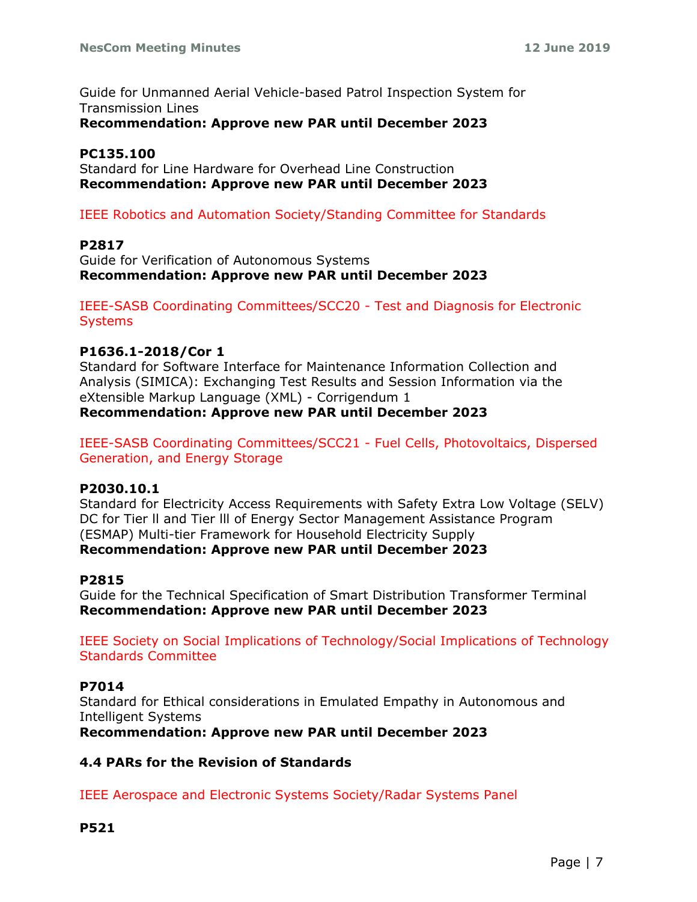Guide for Unmanned Aerial Vehicle-based Patrol Inspection System for Transmission Lines **Recommendation: Approve new PAR until December 2023**

## **PC135.100**

Standard for Line Hardware for Overhead Line Construction **Recommendation: Approve new PAR until December 2023**

# IEEE Robotics and Automation Society/Standing Committee for Standards

## **P2817**

Guide for Verification of Autonomous Systems **Recommendation: Approve new PAR until December 2023**

IEEE-SASB Coordinating Committees/SCC20 - Test and Diagnosis for Electronic **Systems** 

## **P1636.1-2018/Cor 1**

Standard for Software Interface for Maintenance Information Collection and Analysis (SIMICA): Exchanging Test Results and Session Information via the eXtensible Markup Language (XML) - Corrigendum 1 **Recommendation: Approve new PAR until December 2023**

IEEE-SASB Coordinating Committees/SCC21 - Fuel Cells, Photovoltaics, Dispersed Generation, and Energy Storage

## **P2030.10.1**

Standard for Electricity Access Requirements with Safety Extra Low Voltage (SELV) DC for Tier ll and Tier lll of Energy Sector Management Assistance Program (ESMAP) Multi-tier Framework for Household Electricity Supply **Recommendation: Approve new PAR until December 2023**

## **P2815**

Guide for the Technical Specification of Smart Distribution Transformer Terminal **Recommendation: Approve new PAR until December 2023**

IEEE Society on Social Implications of Technology/Social Implications of Technology Standards Committee

## **P7014**

Standard for Ethical considerations in Emulated Empathy in Autonomous and Intelligent Systems

**Recommendation: Approve new PAR until December 2023**

## **4.4 PARs for the Revision of Standards**

IEEE Aerospace and Electronic Systems Society/Radar Systems Panel

## **P521**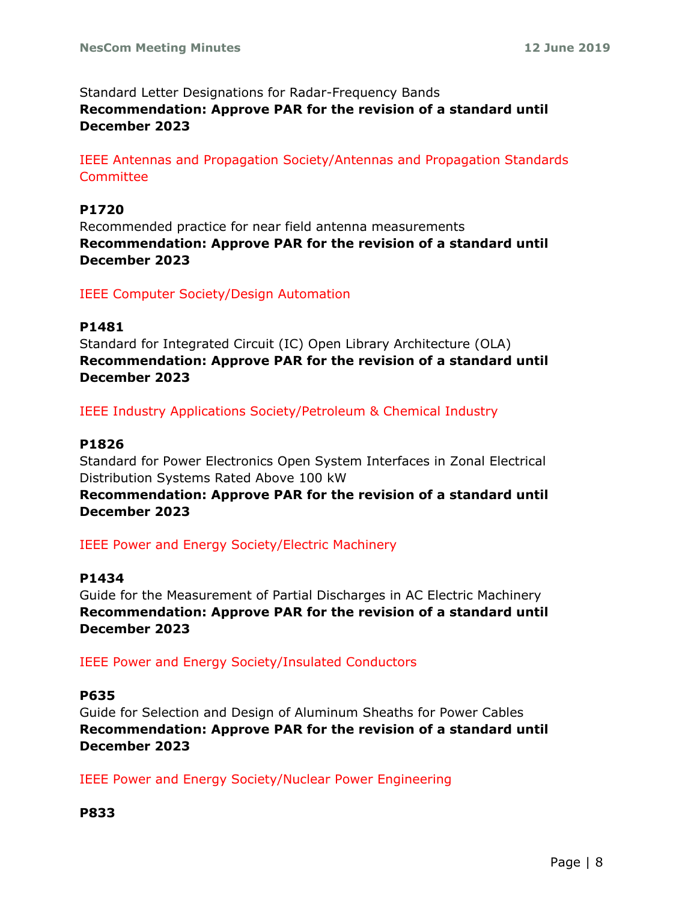Standard Letter Designations for Radar-Frequency Bands **Recommendation: Approve PAR for the revision of a standard until December 2023**

IEEE Antennas and Propagation Society/Antennas and Propagation Standards **Committee** 

# **P1720**

Recommended practice for near field antenna measurements **Recommendation: Approve PAR for the revision of a standard until December 2023**

IEEE Computer Society/Design Automation

## **P1481**

Standard for Integrated Circuit (IC) Open Library Architecture (OLA) **Recommendation: Approve PAR for the revision of a standard until December 2023**

IEEE Industry Applications Society/Petroleum & Chemical Industry

# **P1826**

Standard for Power Electronics Open System Interfaces in Zonal Electrical Distribution Systems Rated Above 100 kW

**Recommendation: Approve PAR for the revision of a standard until December 2023**

IEEE Power and Energy Society/Electric Machinery

## **P1434**

Guide for the Measurement of Partial Discharges in AC Electric Machinery **Recommendation: Approve PAR for the revision of a standard until December 2023**

IEEE Power and Energy Society/Insulated Conductors

## **P635**

Guide for Selection and Design of Aluminum Sheaths for Power Cables **Recommendation: Approve PAR for the revision of a standard until December 2023**

IEEE Power and Energy Society/Nuclear Power Engineering

## **P833**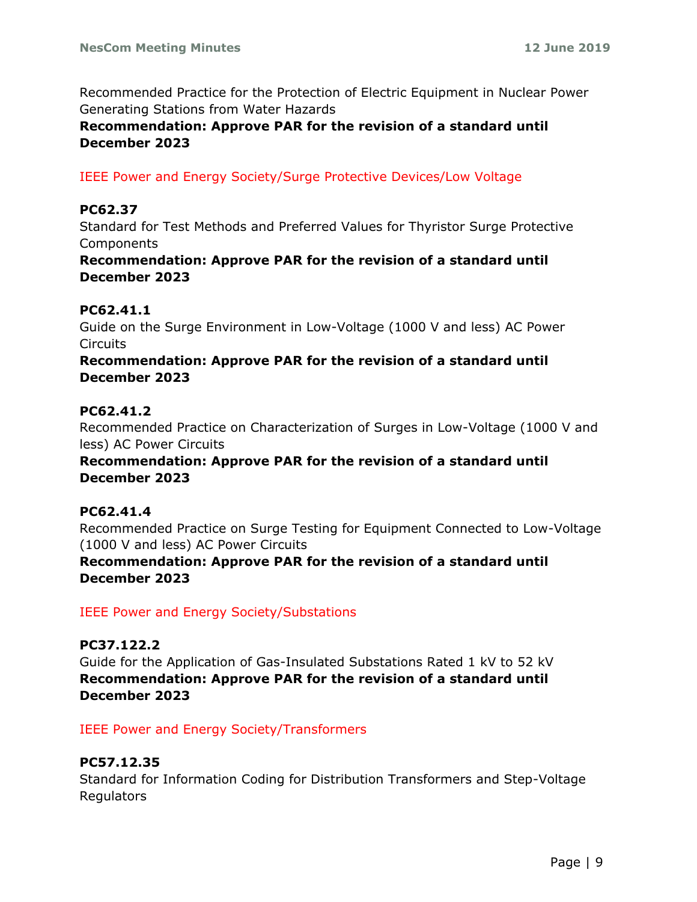Recommended Practice for the Protection of Electric Equipment in Nuclear Power Generating Stations from Water Hazards

**Recommendation: Approve PAR for the revision of a standard until December 2023**

IEEE Power and Energy Society/Surge Protective Devices/Low Voltage

## **PC62.37**

Standard for Test Methods and Preferred Values for Thyristor Surge Protective Components

# **Recommendation: Approve PAR for the revision of a standard until December 2023**

## **PC62.41.1**

Guide on the Surge Environment in Low-Voltage (1000 V and less) AC Power **Circuits** 

## **Recommendation: Approve PAR for the revision of a standard until December 2023**

## **PC62.41.2**

Recommended Practice on Characterization of Surges in Low-Voltage (1000 V and less) AC Power Circuits

# **Recommendation: Approve PAR for the revision of a standard until December 2023**

## **PC62.41.4**

Recommended Practice on Surge Testing for Equipment Connected to Low-Voltage (1000 V and less) AC Power Circuits

# **Recommendation: Approve PAR for the revision of a standard until December 2023**

IEEE Power and Energy Society/Substations

# **PC37.122.2**

Guide for the Application of Gas-Insulated Substations Rated 1 kV to 52 kV **Recommendation: Approve PAR for the revision of a standard until December 2023**

IEEE Power and Energy Society/Transformers

# **PC57.12.35**

Standard for Information Coding for Distribution Transformers and Step-Voltage Regulators